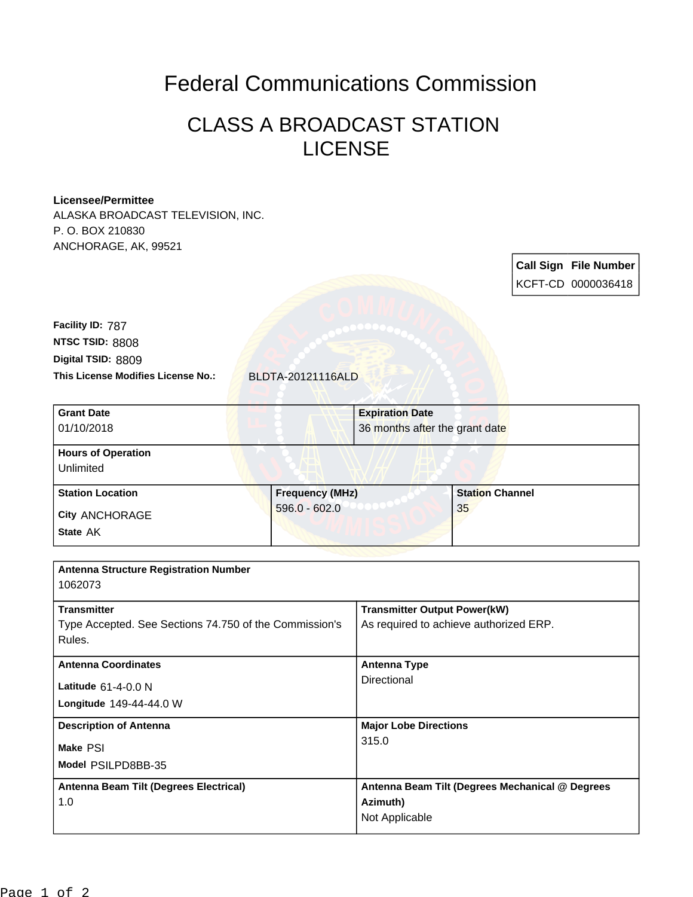## Federal Communications Commission

## CLASS A BROADCAST STATION LICENSE

## **Licensee/Permittee**

ALASKA BROADCAST TELEVISION, INC. P. O. BOX 210830 ANCHORAGE, AK, 99521

> **Call Sign File Number** KCFT-CD 0000036418

**This License Modifies License No.:** BLDTA-20121116ALD **Digital TSID:** 8809 **NTSC TSID:** 8808 **Facility ID:** 787

| 36 months after the grant date |                                           |
|--------------------------------|-------------------------------------------|
|                                |                                           |
|                                |                                           |
|                                |                                           |
|                                | <b>Station Channel</b>                    |
|                                | 35                                        |
|                                |                                           |
|                                |                                           |
|                                | <b>Frequency (MHz)</b><br>$596.0 - 602.0$ |

| Antenna Structure Registration Number<br>1062073                                       |                                                                               |
|----------------------------------------------------------------------------------------|-------------------------------------------------------------------------------|
| <b>Transmitter</b><br>Type Accepted. See Sections 74.750 of the Commission's<br>Rules. | <b>Transmitter Output Power(kW)</b><br>As required to achieve authorized ERP. |
| <b>Antenna Coordinates</b><br>Latitude 61-4-0.0 N<br>Longitude 149-44-44.0 W           | <b>Antenna Type</b><br>Directional                                            |
| <b>Description of Antenna</b><br>Make PSI<br>Model PSILPD8BB-35                        | <b>Major Lobe Directions</b><br>315.0                                         |
| Antenna Beam Tilt (Degrees Electrical)<br>1.0                                          | Antenna Beam Tilt (Degrees Mechanical @ Degrees<br>Azimuth)<br>Not Applicable |